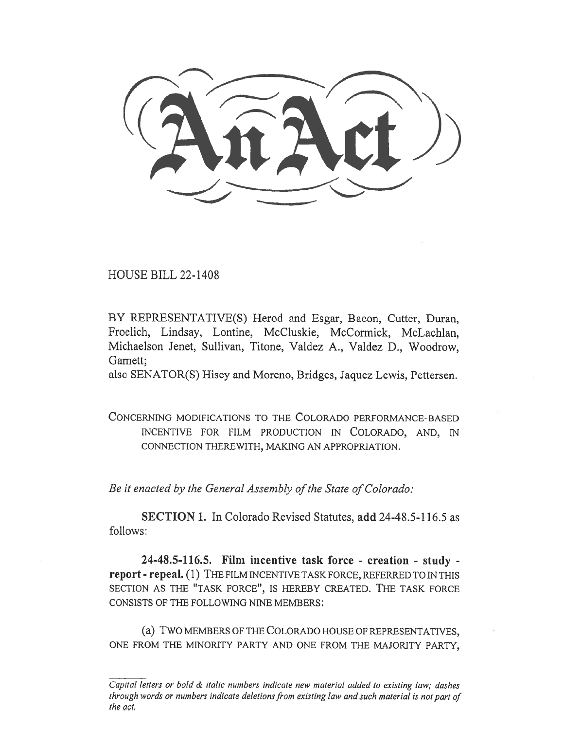HOUSE BILL 22-1408

BY REPRESENTATIVE(S) Herod and Esgar, Bacon, Cutter, Duran, Froelich, Lindsay, Lontine, McCluskie, McCormick, McLachlan, Michaelson Jenet, Sullivan, Titone, Valdez A., Valdez D., Woodrow, Garnett;

also SENATOR(S) Hisey and Moreno, Bridges, Jaquez Lewis, Pettersen.

CONCERNING MODIFICATIONS TO THE COLORADO PERFORMANCE-BASED INCENTIVE FOR FILM PRODUCTION IN COLORADO, AND, IN CONNECTION THEREWITH, MAKING AN APPROPRIATION.

Be it enacted by the General Assembly of the State of Colorado:

SECTION 1. In Colorado Revised Statutes, add 24-48.5-116.5 as follows:

24-48.5-116.5. Film incentive task force - creation - study report - repeal. (1) THE FILM INCENTIVE TASK FORCE, REFERRED TO IN THIS SECTION AS THE "TASK FORCE", IS HEREBY CREATED. THE TASK FORCE CONSISTS OF THE FOLLOWING NINE MEMBERS:

(a) TWO MEMBERS OF THE COLORADO HOUSE OF REPRESENTATIVES, ONE FROM THE MINORITY PARTY AND ONE FROM THE MAJORITY PARTY,

Capital letters or bold & italic numbers indicate new material added to existing law; dashes through words or numbers indicate deletions from existing law and such material is not part of the act.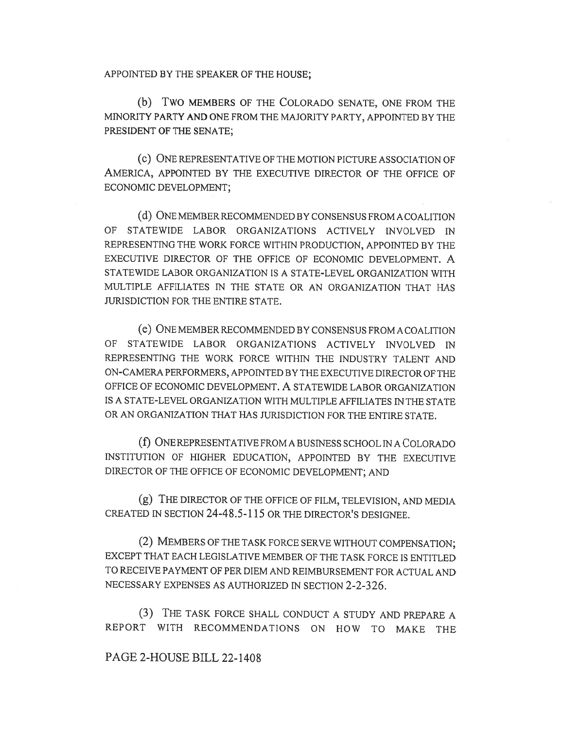APPOINTED BY THE SPEAKER OF THE HOUSE;

(b) Two MEMBERS OF THE COLORADO SENATE, ONE FROM THE MINORITY PARTY AND ONE FROM THE MAJORITY PARTY, APPOINTED BY THE PRESIDENT OF THE SENATE;

(c) ONE REPRESENTATIVE OF THE MOTION PICTURE ASSOCIATION OF AMERICA, APPOINTED BY THE EXECUTIVE DIRECTOR OF THE OFFICE OF ECONOMIC DEVELOPMENT;

(d) ONE MEMBER RECOMMENDED BY CONSENSUS FROM A COALITION OF STATEWIDE LABOR ORGANIZATIONS ACTIVELY INVOLVED IN REPRESENTING THE WORK FORCE WITHIN PRODUCTION, APPOINTED BY THE EXECUTIVE DIRECTOR OF THE OFFICE OF ECONOMIC DEVELOPMENT. A STATEWIDE LABOR ORGANIZATION IS A STATE-LEVEL ORGANIZATION WITH MULTIPLE AFFILIATES IN THE STATE OR AN ORGANIZATION THAT HAS JURISDICTION FOR THE ENTIRE STATE.

(e) ONE MEMBER RECOMMENDED BY CONSENSUS FROM A COALITION OF STATEWIDE LABOR ORGANIZATIONS ACTIVELY INVOLVED IN REPRESENTING THE WORK FORCE WITHIN THE INDUSTRY TALENT AND ON-CAMERA PERFORMERS, APPOINTED BY THE EXECUTIVE DIRECTOR OF THE OFFICE OF ECONOMIC DEVELOPMENT. A STATEWIDE LABOR ORGANIZATION IS A STATE-LEVEL ORGANIZATION WITH MULTIPLE AFFILIATES IN THE STATE OR AN ORGANIZATION THAT HAS JURISDICTION FOR THE ENTIRE STATE.

(f) ONE REPRESENTATIVE FROM A BUSINESS SCHOOL IN A COLORADO INSTITUTION OF HIGHER EDUCATION, APPOINTED BY THE EXECUTIVE DIRECTOR OF THE OFFICE OF ECONOMIC DEVELOPMENT; AND

(g) THE DIRECTOR OF THE OFFICE OF FILM, TELEVISION, AND MEDIA CREATED IN SECTION 24-48.5-115 OR THE DIRECTOR'S DESIGNEE.

(2) MEMBERS OF THE TASK FORCE SERVE WITHOUT COMPENSATION; EXCEPT THAT EACH LEGISLATIVE MEMBER OF THE TASK FORCE IS ENTITLED TO RECEIVE PAYMENT OF PER DIEM AND REIMBURSEMENT FOR ACTUAL AND NECESSARY EXPENSES AS AUTHORIZED IN SECTION 2-2-326.

(3) THE TASK FORCE SHALL CONDUCT A STUDY AND PREPARE A REPORT WITH RECOMMENDATIONS ON HOW TO MAKE THE

## PAGE 2-HOUSE BILL 22-1408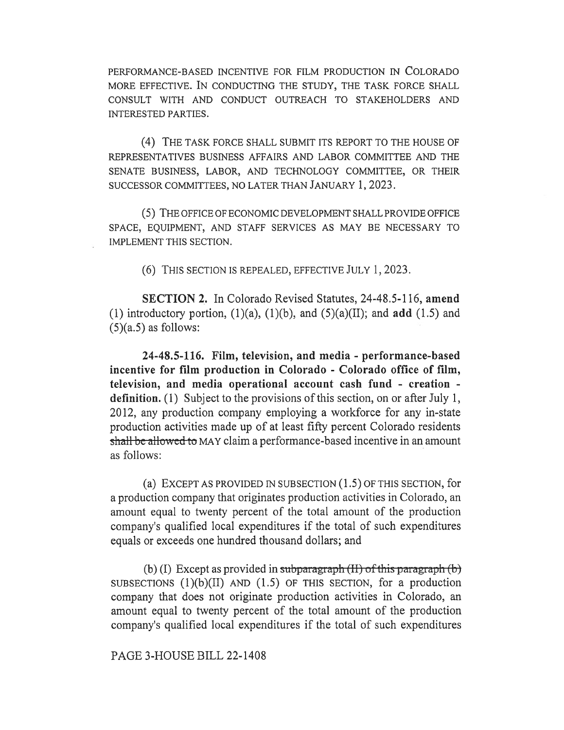PERFORMANCE-BASED INCENTIVE FOR FILM PRODUCTION IN COLORADO MORE EFFECTIVE. IN CONDUCTING THE STUDY, THE TASK FORCE SHALL CONSULT WITH AND CONDUCT OUTREACH TO STAKEHOLDERS AND INTERESTED PARTIES.

(4) THE TASK FORCE SHALL SUBMIT ITS REPORT TO THE HOUSE OF REPRESENTATIVES BUSINESS AFFAIRS AND LABOR COMMITTEE AND THE SENATE BUSINESS, LABOR, AND TECHNOLOGY COMMITTEE, OR THEIR SUCCESSOR COMMITTEES, NO LATER THAN JANUARY 1, 2023.

(5) THE OFFICE OF ECONOMIC DEVELOPMENT SHALL PROVIDE OFFICE SPACE, EQUIPMENT, AND STAFF SERVICES AS MAY BE NECESSARY TO IMPLEMENT THIS SECTION.

(6) THIS SECTION IS REPEALED, EFFECTIVE JULY 1, 2023.

SECTION 2. In Colorado Revised Statutes, 24-48.5-116, amend (1) introductory portion,  $(1)(a)$ ,  $(1)(b)$ , and  $(5)(a)(II)$ ; and **add**  $(1.5)$  and  $(5)(a.5)$  as follows:

24-48.5-116. Film, television, and media - performance-based incentive for film production in Colorado - Colorado office of film, television, and media operational account cash fund - creation definition. (1) Subject to the provisions of this section, on or after July 1, 2012, any production company employing a workforce for any in-state production activities made up of at least fifty percent Colorado residents shall be allowed to MAY claim a performance-based incentive in an amount as follows:

(a) EXCEPT AS PROVIDED IN SUBSECTION  $(1.5)$  OF THIS SECTION, for a production company that originates production activities in Colorado, an amount equal to twenty percent of the total amount of the production company's qualified local expenditures if the total of such expenditures equals or exceeds one hundred thousand dollars; and

(b) (I) Except as provided in subparagraph  $(H)$  of this paragraph  $(b)$ SUBSECTIONS  $(1)(b)(II)$  AND  $(1.5)$  OF THIS SECTION, for a production company that does not originate production activities in Colorado, an amount equal to twenty percent of the total amount of the production company's qualified local expenditures if the total of such expenditures

PAGE 3-HOUSE BILL 22-1408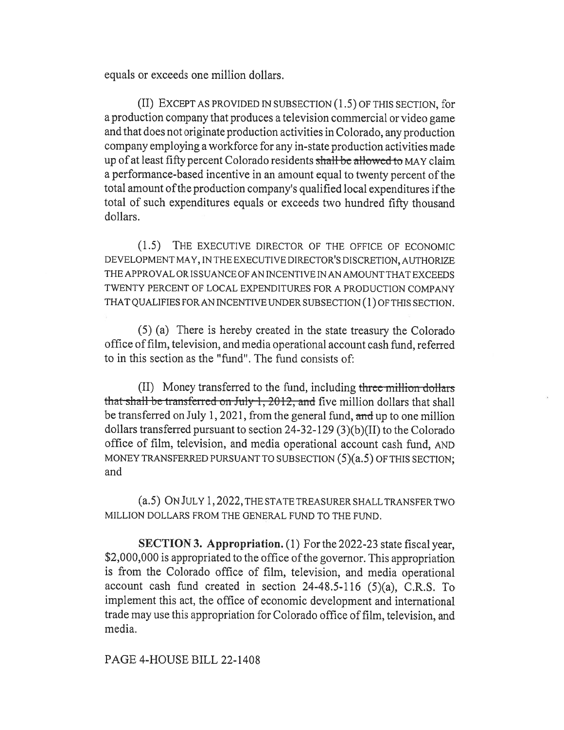equals or exceeds one million dollars.

(II) EXCEPT AS PROVIDED IN SUBSECTION (1.5) OF THIS SECTION, for a production company that produces a television commercial or video game and that does not originate production activities in Colorado, any production company employing a workforce for any in-state production activities made up of at least fifty percent Colorado residents shall be allowed to MAY claim a performance-based incentive in an amount equal to twenty percent of the total amount of the production company's qualified local expenditures if the total of such expenditures equals or exceeds two hundred fifty thousand dollars.

(1.5) THE EXECUTIVE DIRECTOR OF THE OFFICE OF ECONOMIC DEVELOPMENT MAY, IN THE EXECUTIVE DIRECTOR'S DISCRETION, AUTHORIZE THE APPROVAL OR ISSUANCE OF AN INCENTIVE IN AN AMOUNT THAT EXCEEDS TWENTY PERCENT OF LOCAL EXPENDITURES FOR A PRODUCTION COMPANY THAT QUALIFIES FOR AN INCENTIVE UNDER SUBSECTION (1) OF THIS SECTION.

(5) (a) There is hereby created in the state treasury the Colorado office of film, television, and media operational account cash fund, referred to in this section as the "fund". The fund consists of:

(II) Money transferred to the fund, including three million dollars that shall be transferred on July 1, 2012, and five million dollars that shall be transferred on July 1, 2021, from the general fund, and up to one million dollars transferred pursuant to section 24-32-129 (3)(b)(II) to the Colorado office of film, television, and media operational account cash fund, AND MONEY TRANSFERRED PURSUANT TO SUBSECTION (5)(a.5) OF THIS SECTION; and

(a.5) ON JULY 1, 2022, THE STATE TREASURER SHALL TRANSFER TWO MILLION DOLLARS FROM THE GENERAL FUND TO THE FUND.

SECTION 3. Appropriation. (1) For the 2022-23 state fiscal year, \$2,000,000 is appropriated to the office of the governor. This appropriation is from the Colorado office of film, television, and media operational account cash fund created in section 24-48.5-116 (5)(a), C.R.S. To implement this act, the office of economic development and international trade may use this appropriation for Colorado office of film, television, and media.

## PAGE 4-HOUSE BILL 22-1408